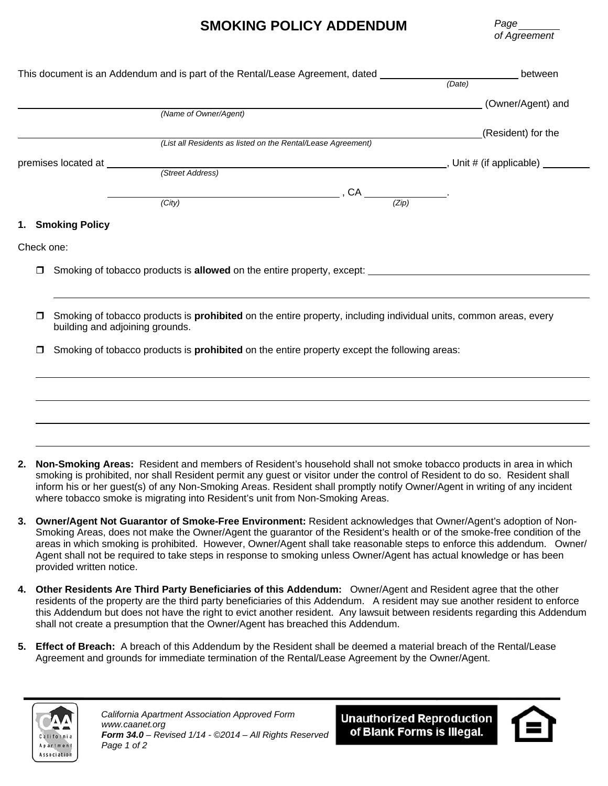## **SMOKING POLICY ADDENDUM**

*Page of Agreement* 

| This document is an Addendum and is part of the Rental/Lease Agreement, dated $(Date)$ |                                                                                                                          | between            |  |
|----------------------------------------------------------------------------------------|--------------------------------------------------------------------------------------------------------------------------|--------------------|--|
|                                                                                        |                                                                                                                          |                    |  |
|                                                                                        |                                                                                                                          | (Owner/Agent) and  |  |
|                                                                                        | (Name of Owner/Agent)                                                                                                    |                    |  |
|                                                                                        |                                                                                                                          | (Resident) for the |  |
|                                                                                        | (List all Residents as listed on the Rental/Lease Agreement)                                                             |                    |  |
|                                                                                        |                                                                                                                          |                    |  |
|                                                                                        |                                                                                                                          |                    |  |
|                                                                                        | $\overbrace{(\overbrace{(\overline{z})})}^{\overbrace{(\overline{z})}^{\overbrace{(\overline{z})}}}.$                    |                    |  |
|                                                                                        | (City)                                                                                                                   |                    |  |
|                                                                                        | 1. Smoking Policy                                                                                                        |                    |  |
|                                                                                        |                                                                                                                          |                    |  |
| Check one:                                                                             |                                                                                                                          |                    |  |
|                                                                                        |                                                                                                                          |                    |  |
| $\Box$                                                                                 | Smoking of tobacco products is allowed on the entire property, except: _____________________________                     |                    |  |
|                                                                                        |                                                                                                                          |                    |  |
|                                                                                        |                                                                                                                          |                    |  |
| $\Box$                                                                                 | Smoking of tobacco products is <b>prohibited</b> on the entire property, including individual units, common areas, every |                    |  |
|                                                                                        | building and adjoining grounds.                                                                                          |                    |  |
| $\Box$                                                                                 | Smoking of tobacco products is <b>prohibited</b> on the entire property except the following areas:                      |                    |  |
|                                                                                        |                                                                                                                          |                    |  |
|                                                                                        |                                                                                                                          |                    |  |
|                                                                                        |                                                                                                                          |                    |  |
|                                                                                        |                                                                                                                          |                    |  |
|                                                                                        |                                                                                                                          |                    |  |
|                                                                                        |                                                                                                                          |                    |  |
|                                                                                        |                                                                                                                          |                    |  |

- **2. Non-Smoking Areas:** Resident and members of Resident's household shall not smoke tobacco products in area in which smoking is prohibited, nor shall Resident permit any guest or visitor under the control of Resident to do so. Resident shall inform his or her guest(s) of any Non-Smoking Areas. Resident shall promptly notify Owner/Agent in writing of any incident where tobacco smoke is migrating into Resident's unit from Non-Smoking Areas.
- **3. Owner/Agent Not Guarantor of Smoke-Free Environment:** Resident acknowledges that Owner/Agent's adoption of Non-Smoking Areas, does not make the Owner/Agent the guarantor of the Resident's health or of the smoke-free condition of the areas in which smoking is prohibited. However, Owner/Agent shall take reasonable steps to enforce this addendum. Owner/ Agent shall not be required to take steps in response to smoking unless Owner/Agent has actual knowledge or has been provided written notice.
- **4. Other Residents Are Third Party Beneficiaries of this Addendum:** Owner/Agent and Resident agree that the other residents of the property are the third party beneficiaries of this Addendum. A resident may sue another resident to enforce this Addendum but does not have the right to evict another resident. Any lawsuit between residents regarding this Addendum shall not create a presumption that the Owner/Agent has breached this Addendum.
- **5. Effect of Breach:** A breach of this Addendum by the Resident shall be deemed a material breach of the Rental/Lease Agreement and grounds for immediate termination of the Rental/Lease Agreement by the Owner/Agent.



*California Apartment Association Approved Form www.caanet.org Form 34.0 – Revised 1/14 - ©2014 – All Rights Reserved Page 1 of 2* 

**Unauthorized Reproduction** of Blank Forms is Illegal.